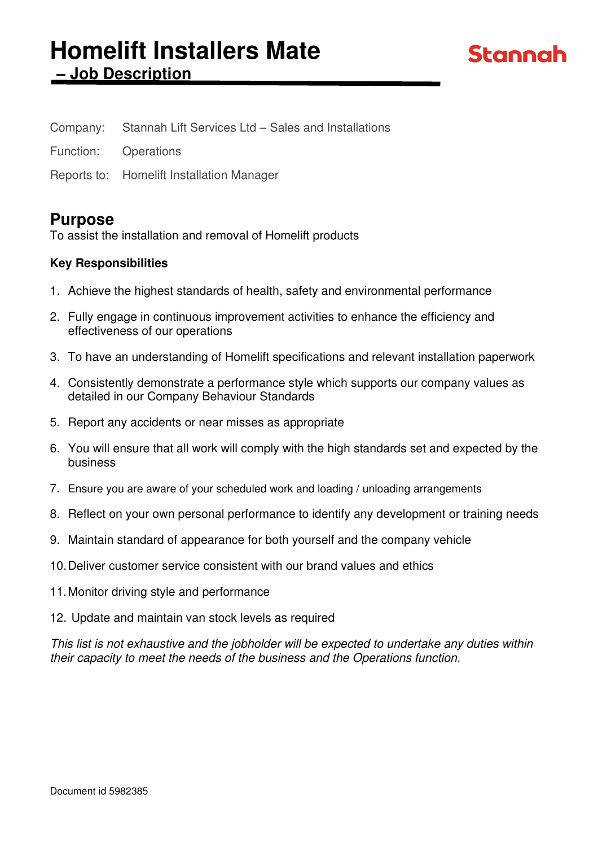# **Homelift Installers Mate – Job Description**

| Company:<br>Stannah Lift Services Ltd – Sales and Installations |
|-----------------------------------------------------------------|
|-----------------------------------------------------------------|

Function: Operations

Reports to: Homelift Installation Manager

# **Purpose**

To assist the installation and removal of Homelift products

# **Key Responsibilities**

- 1. Achieve the highest standards of health, safety and environmental performance
- 2. Fully engage in continuous improvement activities to enhance the efficiency and effectiveness of our operations
- 3. To have an understanding of Homelift specifications and relevant installation paperwork
- 4. Consistently demonstrate a performance style which supports our company values as detailed in our Company Behaviour Standards
- 5. Report any accidents or near misses as appropriate
- 6. You will ensure that all work will comply with the high standards set and expected by the business
- 7. Ensure you are aware of your scheduled work and loading / unloading arrangements
- 8. Reflect on your own personal performance to identify any development or training needs
- 9. Maintain standard of appearance for both yourself and the company vehicle
- 10. Deliver customer service consistent with our brand values and ethics
- 11. Monitor driving style and performance
- 12. Update and maintain van stock levels as required

This list is not exhaustive and the jobholder will be expected to undertake any duties within their capacity to meet the needs of the business and the Operations function.